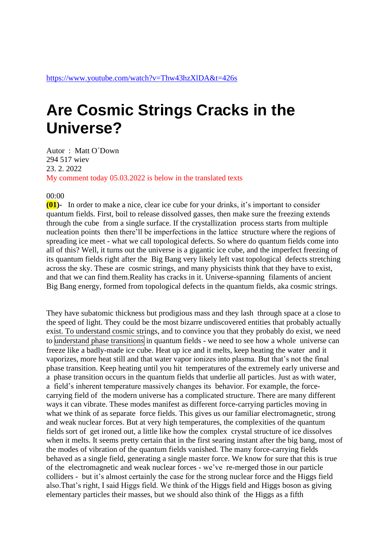## **Are Cosmic Strings Cracks in the Universe?**

Autor : Matt O´Down 294 517 wiev 23. 2. 2022 My comment today 05.03.2022 is below in the translated texts

## 00:00

**(01)-** In order to make a nice, clear ice cube for your drinks, it's important to consider quantum fields. First, boil to release dissolved gasses, then make sure the freezing extends through the cube from a single surface. If the crystallization process starts from multiple nucleation points then there'll be imperfections in the lattice structure where the regions of spreading ice meet - what we call topological defects. So where do quantum fields come into all of this? Well, it turns out the universe is a gigantic ice cube, and the imperfect freezing of its quantum fields right after the Big Bang very likely left vast topological defects stretching across the sky. These are cosmic strings, and many physicists think that they have to exist, and that we can find them.Reality has cracks in it. Universe-spanning filaments of ancient Big Bang energy, formed from topological defects in the quantum fields, aka cosmic strings.

They have subatomic thickness but prodigious mass and they lash through space at a close to the speed of light. They could be the most bizarre undiscovered entities that probably actually exist. To understand cosmic strings, and to convince you that they probably do exist, we need to understand phase transitions in quantum fields - we need to see how a whole universe can freeze like a badly-made ice cube. Heat up ice and it melts, keep heating the water and it vaporizes, more heat still and that water vapor ionizes into plasma. But that's not the final phase transition. Keep heating until you hit temperatures of the extremely early universe and a phase transition occurs in the quantum fields that underlie all particles. Just as with water, a field's inherent temperature massively changes its behavior. For example, the forcecarrying field of the modern universe has a complicated structure. There are many different ways it can vibrate. These modes manifest as different force-carrying particles moving in what we think of as separate force fields. This gives us our familiar electromagnetic, strong and weak nuclear forces. But at very high temperatures, the complexities of the quantum fields sort of get ironed out, a little like how the complex crystal structure of ice dissolves when it melts. It seems pretty certain that in the first searing instant after the big bang, most of the modes of vibration of the quantum fields vanished. The many force-carrying fields behaved as a single field, generating a single master force. We know for sure that this is true of the electromagnetic and weak nuclear forces - we've re-merged those in our particle colliders - but it's almost certainly the case for the strong nuclear force and the Higgs field also.That's right, I said Higgs field. We think of the Higgs field and Higgs boson as giving elementary particles their masses, but we should also think of the Higgs as a fifth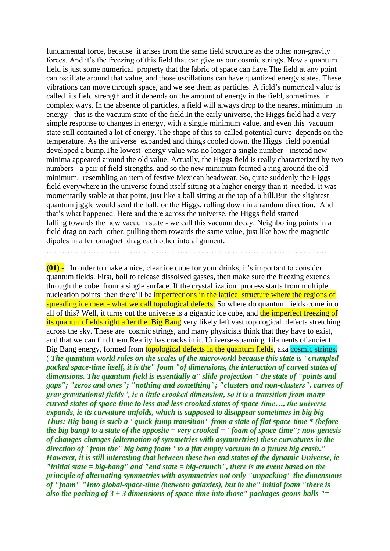fundamental force, because it arises from the same field structure as the other non-gravity forces. And it's the freezing of this field that can give us our cosmic strings. Now a quantum field is just some numerical property that the fabric of space can have.The field at any point can oscillate around that value, and those oscillations can have quantized energy states. These vibrations can move through space, and we see them as particles. A field's numerical value is called its field strength and it depends on the amount of energy in the field, sometimes in complex ways. In the absence of particles, a field will always drop to the nearest minimum in energy - this is the vacuum state of the field.In the early universe, the Higgs field had a very simple response to changes in energy, with a single minimum value, and even this vacuum state still contained a lot of energy. The shape of this so-called potential curve depends on the temperature. As the universe expanded and things cooled down, the Higgs field potential developed a bump.The lowest energy value was no longer a single number - instead new minima appeared around the old value. Actually, the Higgs field is really characterized by two numbers - a pair of field strengths, and so the new minimum formed a ring around the old minimum, resembling an item of festive Mexican headwear. So, quite suddenly the Higgs field everywhere in the universe found itself sitting at a higher energy than it needed. It was momentarily stable at that point, just like a ball sitting at the top of a hill.But the slightest quantum jiggle would send the ball, or the Higgs, rolling down in a random direction. And that's what happened. Here and there across the universe, the Higgs field started falling towards the new vacuum state - we call this vacuum decay. Neighboring points in a field drag on each other, pulling them towards the same value, just like how the magnetic dipoles in a ferromagnet drag each other into alignment.

………………………………………………………………………………………………..

**(01) -** In order to make a nice, clear ice cube for your drinks, it's important to consider quantum fields. First, boil to release dissolved gasses, then make sure the freezing extends through the cube from a single surface. If the crystallization process starts from multiple nucleation points then there'll be imperfections in the lattice structure where the regions of spreading ice meet - what we call topological defects. So where do quantum fields come into all of this? Well, it turns out the universe is a gigantic ice cube, and the imperfect freezing of its quantum fields right after the Big Bang very likely left vast topological defects stretching across the sky. These are cosmic strings, and many physicists think that they have to exist, and that we can find them.Reality has cracks in it. Universe-spanning filaments of ancient Big Bang energy, formed from **topological defects in the quantum fields**, aka cosmic strings. ( *The quantum world rules on the scales of the microworld because this state is "crumpledpacked space-time itself, it is the" foam "of dimensions, the interaction of curved states of dimensions. The quantum field is essentially a" slide-projection " the state of "points and gaps"; "zeros and ones"; "nothing and something"; "clusters and non-clusters". curves of grav gravitational fields ', ie a little crooked dimension, so it is a transition from many curved states of space-time to less and less crooked states of space-time…, the universe expands, ie its curvature unfolds, which is supposed to disappear sometimes in big big-Thus: Big-bang is such a "quick-jump transition" from a state of flat space-time \* (before the big bang) to a state of the opposite = very crooked = "foam of space-time"; now genesis of changes-changes (alternation of symmetries with asymmetries) these curvatures in the direction of "from the" big bang foam "to a flat empty vacuum in a future big crash." However, it is still interesting that between these two end states of the dynamic Universe, ie "initial state = big-bang" and "end state = big-crunch", there is an event based on the principle of alternating symmetries with asymmetries not only "unpacking" the dimensions of "foam" "Into global-space-time (between galaxies), but in the" initial foam "there is also the packing of 3 + 3 dimensions of space-time into those" packages-geons-balls "=*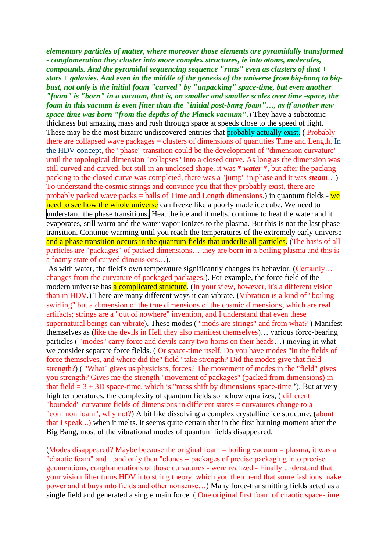*elementary particles of matter, where moreover those elements are pyramidally transformed - conglomeration they cluster into more complex structures, ie into atoms, molecules, compounds. And the pyramidal sequencing sequence "runs" even as clusters of dust + stars + galaxies. And even in the middle of the genesis of the universe from big-bang to bigbust, not only is the initial foam "curved" by "unpacking" space-time, but even another "foam" is "born" in a vacuum, that is, on smaller and smaller scales over time -space, the foam in this vacuum is even finer than the "initial post-bang foam"…, as if another new space-time was born "from the depths of the Planck vacuum"***.**) They have a subatomic thickness but amazing mass and rush through space at speeds close to the speed of light. These may be the most bizarre undiscovered entities that **probably actually exist.** (Probably there are collapsed wave packages = clusters of dimensions of quantities Time and Length. In the HDV concept, the "phase" transition could be the development of "dimension curvature" until the topological dimension "collapses" into a closed curve. As long as the dimension was still curved and curved, but still in an unclosed shape, it was \* *water* \*, but after the packingpacking to the closed curve was completed, there was a "jump" in phase and it was *steam*…) To understand the cosmic strings and convince you that they probably exist, there are probably packed wave packs  $=$  balls of Time and Length dimensions.) in quantum fields - we need to see how the whole universe can freeze like a poorly made ice cube. We need to understand the phase transitions. Heat the ice and it melts, continue to heat the water and it evaporates, still warm and the water vapor ionizes to the plasma. But this is not the last phase transition. Continue warming until you reach the temperatures of the extremely early universe and a phase transition occurs in the quantum fields that underlie all particles. (The basis of all particles are "packages" of packed dimensions… they are born in a boiling plasma and this is a foamy state of curved dimensions…).

As with water, the field's own temperature significantly changes its behavior. (Certainly... changes from the curvature of packaged packages.). For example, the force field of the modern universe has a complicated structure. (In your view, however, it's a different vision than in HDV.) There are many different ways it can vibrate. (Vibration is a kind of "boilingswirling" but a dimension of the true dimensions of the cosmic dimensions, which are real artifacts; strings are a "out of nowhere" invention, and I understand that even these supernatural beings can vibrate). These modes ( "mods are strings" and from what? ) Manifest themselves as (like the devils in Hell they also manifest themselves)… various force-bearing particles ( "modes" carry force and devils carry two horns on their heads…) moving in what we consider separate force fields. ( Or space-time itself. Do you have modes "in the fields of force themselves, and where did the" field "take strength? Did the modes give that field strength?) ( "What" gives us physicists, forces? The movement of modes in the "field" gives you strength? Gives me the strength "movement of packages" (packed from dimensions) in that field  $= 3 + 3D$  space-time, which is "mass shift by dimensions space-time"). But at very high temperatures, the complexity of quantum fields somehow equalizes, ( different "bounded" curvature fields of dimensions in different states = curvatures change to a "common foam", why not?) A bit like dissolving a complex crystalline ice structure, (about that I speak ..) when it melts. It seems quite certain that in the first burning moment after the Big Bang, most of the vibrational modes of quantum fields disappeared.

(Modes disappeared? Maybe because the original foam = boiling vacuum = plasma, it was a "chaotic foam" and…and only then "clones = packages of precise packaging into precise geomentions, conglomerations of those curvatures - were realized - Finally understand that your vision filter turns HDV into string theory, which you then bend that some fashions make power and it buys into fields and other nonsense…) Many force-transmitting fields acted as a single field and generated a single main force. ( One original first foam of chaotic space-time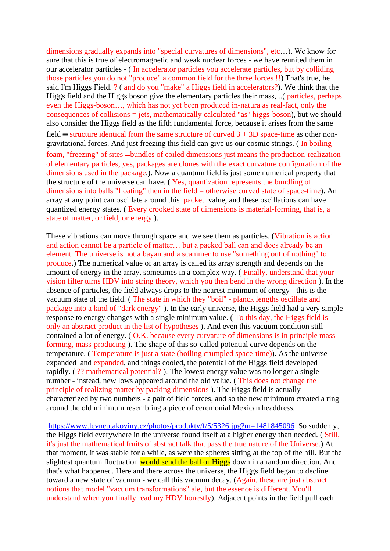dimensions gradually expands into "special curvatures of dimensions", etc…). We know for sure that this is true of electromagnetic and weak nuclear forces - we have reunited them in our accelerator particles - ( In accelerator particles you accelerate particles, but by colliding those particles you do not "produce" a common field for the three forces !!) That's true, he said I'm Higgs Field. ? ( and do you "make" a Higgs field in accelerators?). We think that the Higgs field and the Higgs boson give the elementary particles their mass, ..( particles, perhaps even the Higgs-boson…, which has not yet been produced in-natura as real-fact, only the consequences of collisions  $=$  jets, mathematically calculated "as" higgs-boson), but we should also consider the Higgs field as the fifth fundamental force, because it arises from the same field  $\equiv$  structure identical from the same structure of curved  $3 + 3D$  space-time as other nongravitational forces. And just freezing this field can give us our cosmic strings. ( In boiling foam, "freezing" of sites =bundles of coiled dimensions just means the production-realization of elementary particles, yes, packages are clones with the exact curvature configuration of the dimensions used in the package.). Now a quantum field is just some numerical property that the structure of the universe can have. ( Yes, quantization represents the bundling of dimensions into balls "floating" then in the field = otherwise curved state of space-time). An array at any point can oscillate around this packet value, and these oscillations can have quantized energy states. ( Every crooked state of dimensions is material-forming, that is, a state of matter, or field, or energy ).

These vibrations can move through space and we see them as particles. (Vibration is action and action cannot be a particle of matter… but a packed ball can and does already be an element. The universe is not a bayan and a scammer to use "something out of nothing" to produce.) The numerical value of an array is called its array strength and depends on the amount of energy in the array, sometimes in a complex way. ( Finally, understand that your vision filter turns HDV into string theory, which you then bend in the wrong direction ). In the absence of particles, the field always drops to the nearest minimum of energy - this is the vacuum state of the field. ( The state in which they "boil" - planck lengths oscillate and package into a kind of "dark energy" ). In the early universe, the Higgs field had a very simple response to energy changes with a single minimum value. ( To this day, the Higgs field is only an abstract product in the list of hypotheses ). And even this vacuum condition still contained a lot of energy. ( O.K. because every curvature of dimensions is in principle massforming, mass-producing ). The shape of this so-called potential curve depends on the temperature. ( Temperature is just a state (boiling crumpled space-time)). As the universe expanded and expanded, and things cooled, the potential of the Higgs field developed rapidly. ( ?? mathematical potential? ). The lowest energy value was no longer a single number - instead, new lows appeared around the old value. ( This does not change the principle of realizing matter by packing dimensions ). The Higgs field is actually characterized by two numbers - a pair of field forces, and so the new minimum created a ring around the old minimum resembling a piece of ceremonial Mexican headdress.

<https://www.levneptakoviny.cz/photos/produkty/f/5/5326.jpg?m=1481845096>So suddenly, the Higgs field everywhere in the universe found itself at a higher energy than needed. ( Still, it's just the mathematical fruits of abstract talk that pass the true nature of the Universe.) At that moment, it was stable for a while, as were the spheres sitting at the top of the hill. But the slightest quantum fluctuation would send the ball or Higgs down in a random direction. And that's what happened. Here and there across the universe, the Higgs field began to decline toward a new state of vacuum - we call this vacuum decay. (Again, these are just abstract notions that model "vacuum transformations" ale, but the essence is different. You'll understand when you finally read my HDV honestly). Adjacent points in the field pull each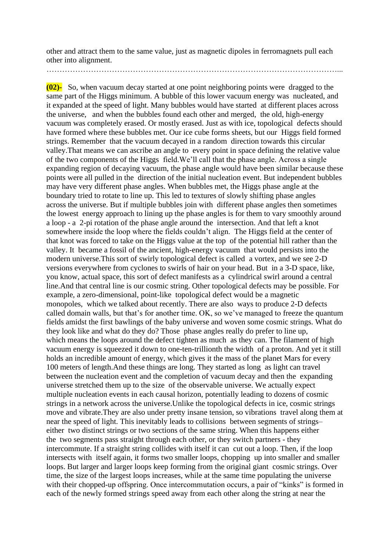other and attract them to the same value, just as magnetic dipoles in ferromagnets pull each other into alignment.

…………………………………………………………………………………………………...

**(02)-** So, when vacuum decay started at one point neighboring points were dragged to the same part of the Higgs minimum. A bubble of this lower vacuum energy was nucleated, and it expanded at the speed of light. Many bubbles would have started at different places across the universe, and when the bubbles found each other and merged, the old, high-energy vacuum was completely erased. Or mostly erased. Just as with ice, topological defects should have formed where these bubbles met. Our ice cube forms sheets, but our Higgs field formed strings. Remember that the vacuum decayed in a random direction towards this circular valley.That means we can ascribe an angle to every point in space defining the relative value of the two components of the Higgs field.We'll call that the phase angle. Across a single expanding region of decaying vacuum, the phase angle would have been similar because these points were all pulled in the direction of the initial nucleation event. But independent bubbles may have very different phase angles. When bubbles met, the Higgs phase angle at the boundary tried to rotate to line up. This led to textures of slowly shifting phase angles across the universe. But if multiple bubbles join with different phase angles then sometimes the lowest energy approach to lining up the phase angles is for them to vary smoothly around a loop - a 2-pi rotation of the phase angle around the intersection. And that left a knot somewhere inside the loop where the fields couldn't align. The Higgs field at the center of that knot was forced to take on the Higgs value at the top of the potential hill rather than the valley. It became a fossil of the ancient, high-energy vacuum that would persists into the modern universe.This sort of swirly topological defect is called a vortex, and we see 2-D versions everywhere from cyclones to swirls of hair on your head. But in a 3-D space, like, you know, actual space, this sort of defect manifests as a cylindrical swirl around a central line.And that central line is our cosmic string. Other topological defects may be possible. For example, a zero-dimensional, point-like topological defect would be a magnetic monopoles, which we talked about recently. There are also ways to produce 2-D defects called domain walls, but that's for another time. OK, so we've managed to freeze the quantum fields amidst the first bawlings of the baby universe and woven some cosmic strings. What do they look like and what do they do? Those phase angles really do prefer to line up, which means the loops around the defect tighten as much as they can. The filament of high vacuum energy is squeezed it down to one-ten-trillionth the width of a proton. And yet it still holds an incredible amount of energy, which gives it the mass of the planet Mars for every 100 meters of length.And these things are long. They started as long as light can travel between the nucleation event and the completion of vacuum decay and then the expanding universe stretched them up to the size of the observable universe. We actually expect multiple nucleation events in each causal horizon, potentially leading to dozens of cosmic strings in a network across the universe.Unlike the topological defects in ice, cosmic strings move and vibrate.They are also under pretty insane tension, so vibrations travel along them at near the speed of light. This inevitably leads to collisions between segments of strings– either two distinct strings or two sections of the same string. When this happens either the two segments pass straight through each other, or they switch partners - they intercommute. If a straight string collides with itself it can cut out a loop. Then, if the loop intersects with itself again, it forms two smaller loops, chopping up into smaller and smaller loops. But larger and larger loops keep forming from the original giant cosmic strings. Over time, the size of the largest loops increases, while at the same time populating the universe with their chopped-up offspring. Once intercommutation occurs, a pair of "kinks" is formed in each of the newly formed strings speed away from each other along the string at near the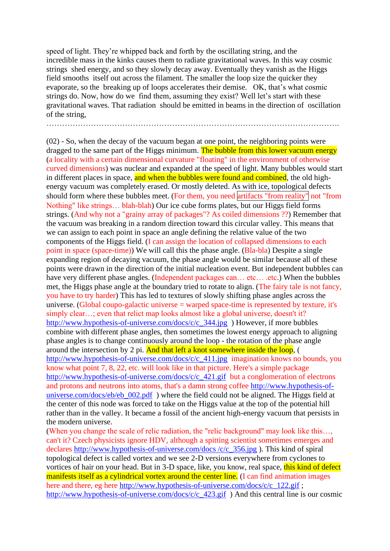speed of light. They're whipped back and forth by the oscillating string, and the incredible mass in the kinks causes them to radiate gravitational waves. In this way cosmic strings shed energy, and so they slowly decay away. Eventually they vanish as the Higgs field smooths itself out across the filament. The smaller the loop size the quicker they evaporate, so the breaking up of loops accelerates their demise. OK, that's what cosmic strings do. Now, how do we find them, assuming they exist? Well let's start with these gravitational waves. That radiation should be emitted in beams in the direction of oscillation of the string,

………………………………………………………………………………………………….

(02) - So, when the decay of the vacuum began at one point, the neighboring points were dragged to the same part of the Higgs minimum. The bubble from this lower vacuum energy (a locality with a certain dimensional curvature "floating" in the environment of otherwise curved dimensions) was nuclear and expanded at the speed of light. Many bubbles would start in different places in space, and when the bubbles were found and combined, the old highenergy vacuum was completely erased. Or mostly deleted. As with ice, topological defects should form where these bubbles meet. (For them, you need artifacts "from reality" not "from Nothing" like strings… blah-blah) Our ice cube forms plates, but our Higgs field forms strings. (And why not a "grainy array of packages"? As coiled dimensions ??) Remember that the vacuum was breaking in a random direction toward this circular valley. This means that we can assign to each point in space an angle defining the relative value of the two components of the Higgs field. (I can assign the location of collapsed dimensions to each point in space (space-time)) We will call this the phase angle. (Bla-bla) Despite a single expanding region of decaying vacuum, the phase angle would be similar because all of these points were drawn in the direction of the initial nucleation event. But independent bubbles can have very different phase angles. (Independent packages can... etc... .etc.) When the bubbles met, the Higgs phase angle at the boundary tried to rotate to align. (The fairy tale is not fancy, you have to try harder) This has led to textures of slowly shifting phase angles across the universe. (Global coupo-galactic universe = warped space-time is represented by texture, it's simply clear...; even that relict map looks almost like a global universe, doesn't it? [http://www.hypothesis-of-universe.com/docs/c/c\\_344.jpg](http://www.hypothesis-of-universe.com/docs/c/c_344.jpg) ) However, if more bubbles combine with different phase angles, then sometimes the lowest energy approach to aligning phase angles is to change continuously around the loop - the rotation of the phase angle around the intersection by 2 pi. And that left a knot somewhere inside the loop, ( [http://www.hypothesis-of-universe.com/docs/c/c\\_411.jpg](http://www.hypothesis-of-universe.com/docs/c/c_411.jpg) imagination knows no bounds, you know what point 7, 8, 22, etc. will look like in that picture. Here's a simple package [http://www.hypothesis-of-universe.com/docs/c/c\\_421.gif](http://www.hypothesis-of-universe.com/docs/c/c_421.gif) but a conglomeration of electrons and protons and neutrons into atoms, that's a damn strong coffee [http://www.hypothesis-of](http://www.hypothesis-of-universe.com/docs/eb/eb_002.pdf)universe.com/docs/eb/eb  $002$ .pdf ) where the field could not be aligned. The Higgs field at the center of this node was forced to take on the Higgs value at the top of the potential hill rather than in the valley. It became a fossil of the ancient high-energy vacuum that persists in the modern universe.

(When you change the scale of relic radiation, the "relic background" may look like this…, can't it? Czech physicists ignore HDV, although a spitting scientist sometimes emerges and declares [http://www.hypothesis-of-universe.com/docs /c/c\\_356.jpg](http://www.hypothesis-of-universe.com/docs%20/c/c_356.jpg) ). This kind of spiral topological defect is called vortex and we see 2-D versions everywhere from cyclones to vortices of hair on your head. But in 3-D space, like, you know, real space, this kind of defect manifests itself as a cylindrical vortex around the center line. (I can find animation images here and there, eg here [http://www.hypothesis-of-universe.com/docs/c/c\\_122.gif](http://www.hypothesis-of-universe.com/docs/c/c_122.gif) ; [http://www.hypothesis-of-universe.com/docs/c/c\\_423.gif](http://www.hypothesis-of-universe.com/docs/c/c_423.gif) ) And this central line is our cosmic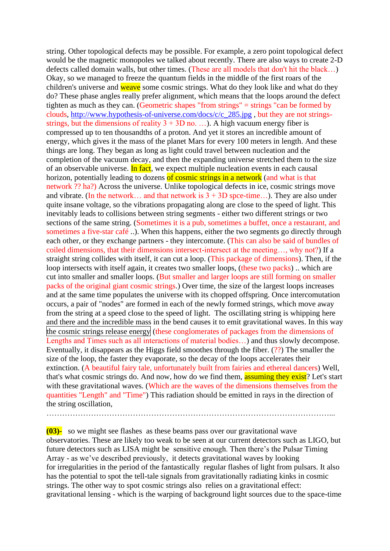string. Other topological defects may be possible. For example, a zero point topological defect would be the magnetic monopoles we talked about recently. There are also ways to create 2-D defects called domain walls, but other times. (These are all models that don't hit the black…) Okay, so we managed to freeze the quantum fields in the middle of the first roars of the children's universe and weave some cosmic strings. What do they look like and what do they do? These phase angles really prefer alignment, which means that the loops around the defect tighten as much as they can. (Geometric shapes "from strings" = strings "can be formed by clouds, [http://www.hypothesis-of-universe.com/docs/c/c\\_285.jpg](http://www.hypothesis-of-universe.com/docs/c/c_285.jpg) , but they are not stringsstrings, but the dimensions of reality  $3 + 3D$  no. ...). A high vacuum energy fiber is compressed up to ten thousandths of a proton. And yet it stores an incredible amount of energy, which gives it the mass of the planet Mars for every 100 meters in length. And these things are long. They began as long as light could travel between nucleation and the completion of the vacuum decay, and then the expanding universe stretched them to the size of an observable universe. In fact, we expect multiple nucleation events in each causal horizon, potentially leading to dozens of cosmic strings in a network (and what is that network ?? ha?) Across the universe. Unlike topological defects in ice, cosmic strings move and vibrate. (In the network... and that network is  $3 + 3D$  spce-time...). They are also under quite insane voltage, so the vibrations propagating along are close to the speed of light. This inevitably leads to collisions between string segments - either two different strings or two sections of the same string. (Sometimes it is a pub, sometimes a buffet, once a restaurant, and sometimes a five-star café ..). When this happens, either the two segments go directly through each other, or they exchange partners - they intercomute. (This can also be said of bundles of coiled dimensions, that their dimensions intersect-intersect at the meeting…, why not?) If a straight string collides with itself, it can cut a loop. (This package of dimensions). Then, if the loop intersects with itself again, it creates two smaller loops, (these two packs) .. which are cut into smaller and smaller loops. (But smaller and larger loops are still forming on smaller packs of the original giant cosmic strings.) Over time, the size of the largest loops increases and at the same time populates the universe with its chopped offspring. Once intercomutation occurs, a pair of "nodes" are formed in each of the newly formed strings, which move away from the string at a speed close to the speed of light. The oscillating string is whipping here and there and the incredible mass in the bend causes it to emit gravitational waves. In this way the cosmic strings release energy (these conglomerates of packages from the dimensions of Lengths and Times such as all interactions of material bodies…) and thus slowly decompose. Eventually, it disappears as the Higgs field smoothes through the fiber. (??) The smaller the size of the loop, the faster they evaporate, so the decay of the loops accelerates their extinction. (A beautiful fairy tale, unfortunately built from fairies and ethereal dancers) Well, that's what cosmic strings do. And now, how do we find them, assuming they exist? Let's start with these gravitational waves. (Which are the waves of the dimensions themselves from the quantities "Length" and "Time") This radiation should be emitted in rays in the direction of the string oscillation,

………………………………………………………………………………………………...

**(03)-** so we might see flashes as these beams pass over our gravitational wave observatories. These are likely too weak to be seen at our current detectors such as LIGO, but future detectors such as LISA might be sensitive enough. Then there's the Pulsar Timing Array - as we've described previously, it detects gravitational waves by looking for irregularities in the period of the fantastically regular flashes of light from pulsars. It also has the potential to spot the tell-tale signals from gravitationally radiating kinks in cosmic strings. The other way to spot cosmic strings also relies on a gravitational effect: gravitational lensing - which is the warping of background light sources due to the space-time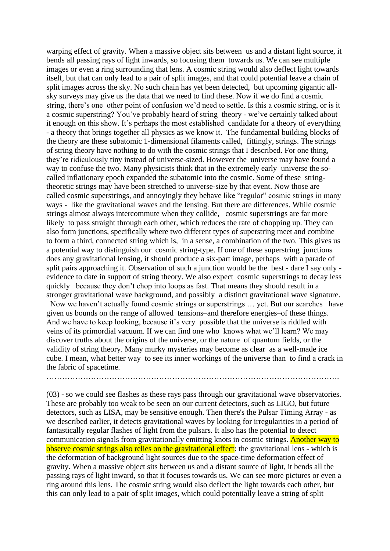warping effect of gravity. When a massive object sits between us and a distant light source, it bends all passing rays of light inwards, so focusing them towards us. We can see multiple images or even a ring surrounding that lens. A cosmic string would also deflect light towards itself, but that can only lead to a pair of split images, and that could potential leave a chain of split images across the sky. No such chain has yet been detected, but upcoming gigantic allsky surveys may give us the data that we need to find these. Now if we do find a cosmic string, there's one other point of confusion we'd need to settle. Is this a cosmic string, or is it a cosmic superstring? You've probably heard of string theory - we've certainly talked about it enough on this show. It's perhaps the most established candidate for a theory of everything - a theory that brings together all physics as we know it. The fundamental building blocks of the theory are these subatomic 1-dimensional filaments called, fittingly, strings. The strings of string theory have nothing to do with the cosmic strings that I described. For one thing, they're ridiculously tiny instead of universe-sized. However the universe may have found a way to confuse the two. Many physicists think that in the extremely early universe the socalled inflationary epoch expanded the subatomic into the cosmic. Some of these stringtheoretic strings may have been stretched to universe-size by that event. Now those are called cosmic superstrings, and annoyingly they behave like "regular" cosmic strings in many ways - like the gravitational waves and the lensing. But there are differences. While cosmic strings almost always intercommute when they collide, cosmic superstrings are far more likely to pass straight through each other, which reduces the rate of chopping up. They can also form junctions, specifically where two different types of superstring meet and combine to form a third, connected string which is, in a sense, a combination of the two. This gives us a potential way to distinguish our cosmic string-type. If one of these superstring junctions does any gravitational lensing, it should produce a six-part image, perhaps with a parade of split pairs approaching it. Observation of such a junction would be the best - dare I say only evidence to date in support of string theory. We also expect cosmic superstrings to decay less quickly because they don't chop into loops as fast. That means they should result in a stronger gravitational wave background, and possibly a distinct gravitational wave signature.

Now we haven't actually found cosmic strings or superstrings … yet. But our searches have given us bounds on the range of allowed tensions–and therefore energies–of these things. And we have to keep looking, because it's very possible that the universe is riddled with veins of its primordial vacuum. If we can find one who knows what we'll learn? We may discover truths about the origins of the universe, or the nature of quantum fields, or the validity of string theory. Many murky mysteries may become as clear as a well-made ice cube. I mean, what better way to see its inner workings of the universe than to find a crack in the fabric of spacetime.

………………………………………………………………………………………………….

(03) - so we could see flashes as these rays pass through our gravitational wave observatories. These are probably too weak to be seen on our current detectors, such as LIGO, but future detectors, such as LISA, may be sensitive enough. Then there's the Pulsar Timing Array - as we described earlier, it detects gravitational waves by looking for irregularities in a period of fantastically regular flashes of light from the pulsars. It also has the potential to detect communication signals from gravitationally emitting knots in cosmic strings. Another way to observe cosmic strings also relies on the gravitational effect: the gravitational lens - which is the deformation of background light sources due to the space-time deformation effect of gravity. When a massive object sits between us and a distant source of light, it bends all the passing rays of light inward, so that it focuses towards us. We can see more pictures or even a ring around this lens. The cosmic string would also deflect the light towards each other, but this can only lead to a pair of split images, which could potentially leave a string of split